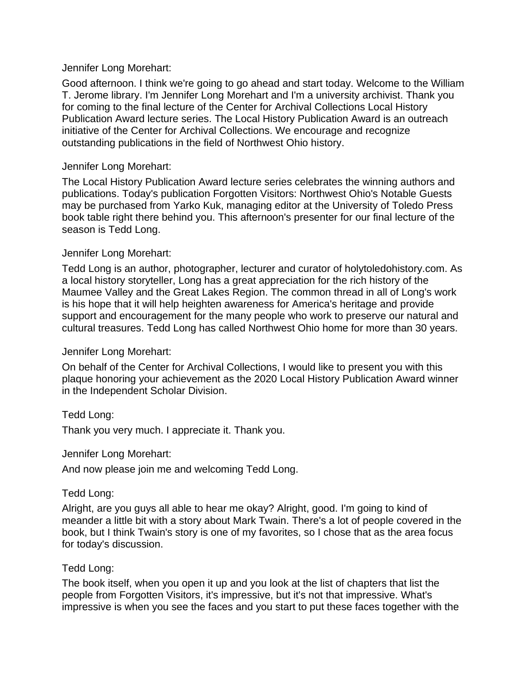#### Jennifer Long Morehart:

Good afternoon. I think we're going to go ahead and start today. Welcome to the William T. Jerome library. I'm Jennifer Long Morehart and I'm a university archivist. Thank you for coming to the final lecture of the Center for Archival Collections Local History Publication Award lecture series. The Local History Publication Award is an outreach initiative of the Center for Archival Collections. We encourage and recognize outstanding publications in the field of Northwest Ohio history.

### Jennifer Long Morehart:

The Local History Publication Award lecture series celebrates the winning authors and publications. Today's publication Forgotten Visitors: Northwest Ohio's Notable Guests may be purchased from Yarko Kuk, managing editor at the University of Toledo Press book table right there behind you. This afternoon's presenter for our final lecture of the season is Tedd Long.

#### Jennifer Long Morehart:

Tedd Long is an author, photographer, lecturer and curator of holytoledohistory.com. As a local history storyteller, Long has a great appreciation for the rich history of the Maumee Valley and the Great Lakes Region. The common thread in all of Long's work is his hope that it will help heighten awareness for America's heritage and provide support and encouragement for the many people who work to preserve our natural and cultural treasures. Tedd Long has called Northwest Ohio home for more than 30 years.

### Jennifer Long Morehart:

On behalf of the Center for Archival Collections, I would like to present you with this plaque honoring your achievement as the 2020 Local History Publication Award winner in the Independent Scholar Division.

Tedd Long:

Thank you very much. I appreciate it. Thank you.

Jennifer Long Morehart:

And now please join me and welcoming Tedd Long.

### Tedd Long:

Alright, are you guys all able to hear me okay? Alright, good. I'm going to kind of meander a little bit with a story about Mark Twain. There's a lot of people covered in the book, but I think Twain's story is one of my favorites, so I chose that as the area focus for today's discussion.

#### Tedd Long:

The book itself, when you open it up and you look at the list of chapters that list the people from Forgotten Visitors, it's impressive, but it's not that impressive. What's impressive is when you see the faces and you start to put these faces together with the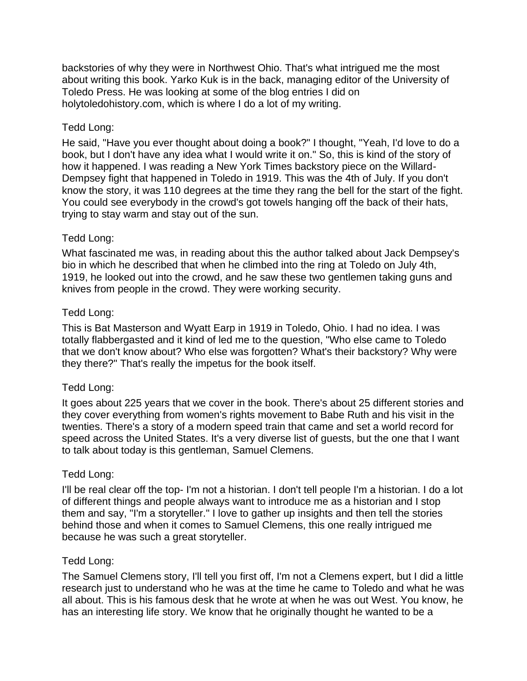backstories of why they were in Northwest Ohio. That's what intrigued me the most about writing this book. Yarko Kuk is in the back, managing editor of the University of Toledo Press. He was looking at some of the blog entries I did on holytoledohistory.com, which is where I do a lot of my writing.

## Tedd Long:

He said, "Have you ever thought about doing a book?" I thought, "Yeah, I'd love to do a book, but I don't have any idea what I would write it on." So, this is kind of the story of how it happened. I was reading a New York Times backstory piece on the Willard-Dempsey fight that happened in Toledo in 1919. This was the 4th of July. If you don't know the story, it was 110 degrees at the time they rang the bell for the start of the fight. You could see everybody in the crowd's got towels hanging off the back of their hats, trying to stay warm and stay out of the sun.

## Tedd Long:

What fascinated me was, in reading about this the author talked about Jack Dempsey's bio in which he described that when he climbed into the ring at Toledo on July 4th, 1919, he looked out into the crowd, and he saw these two gentlemen taking guns and knives from people in the crowd. They were working security.

## Tedd Long:

This is Bat Masterson and Wyatt Earp in 1919 in Toledo, Ohio. I had no idea. I was totally flabbergasted and it kind of led me to the question, "Who else came to Toledo that we don't know about? Who else was forgotten? What's their backstory? Why were they there?" That's really the impetus for the book itself.

### Tedd Long:

It goes about 225 years that we cover in the book. There's about 25 different stories and they cover everything from women's rights movement to Babe Ruth and his visit in the twenties. There's a story of a modern speed train that came and set a world record for speed across the United States. It's a very diverse list of guests, but the one that I want to talk about today is this gentleman, Samuel Clemens.

### Tedd Long:

I'll be real clear off the top- I'm not a historian. I don't tell people I'm a historian. I do a lot of different things and people always want to introduce me as a historian and I stop them and say, "I'm a storyteller." I love to gather up insights and then tell the stories behind those and when it comes to Samuel Clemens, this one really intrigued me because he was such a great storyteller.

### Tedd Long:

The Samuel Clemens story, I'll tell you first off, I'm not a Clemens expert, but I did a little research just to understand who he was at the time he came to Toledo and what he was all about. This is his famous desk that he wrote at when he was out West. You know, he has an interesting life story. We know that he originally thought he wanted to be a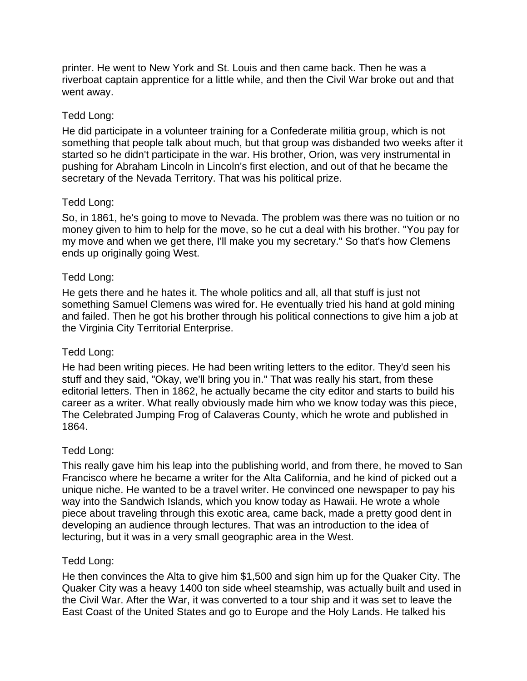printer. He went to New York and St. Louis and then came back. Then he was a riverboat captain apprentice for a little while, and then the Civil War broke out and that went away.

## Tedd Long:

He did participate in a volunteer training for a Confederate militia group, which is not something that people talk about much, but that group was disbanded two weeks after it started so he didn't participate in the war. His brother, Orion, was very instrumental in pushing for Abraham Lincoln in Lincoln's first election, and out of that he became the secretary of the Nevada Territory. That was his political prize.

## Tedd Long:

So, in 1861, he's going to move to Nevada. The problem was there was no tuition or no money given to him to help for the move, so he cut a deal with his brother. "You pay for my move and when we get there, I'll make you my secretary." So that's how Clemens ends up originally going West.

## Tedd Long:

He gets there and he hates it. The whole politics and all, all that stuff is just not something Samuel Clemens was wired for. He eventually tried his hand at gold mining and failed. Then he got his brother through his political connections to give him a job at the Virginia City Territorial Enterprise.

# Tedd Long:

He had been writing pieces. He had been writing letters to the editor. They'd seen his stuff and they said, "Okay, we'll bring you in." That was really his start, from these editorial letters. Then in 1862, he actually became the city editor and starts to build his career as a writer. What really obviously made him who we know today was this piece, The Celebrated Jumping Frog of Calaveras County, which he wrote and published in 1864.

# Tedd Long:

This really gave him his leap into the publishing world, and from there, he moved to San Francisco where he became a writer for the Alta California, and he kind of picked out a unique niche. He wanted to be a travel writer. He convinced one newspaper to pay his way into the Sandwich Islands, which you know today as Hawaii. He wrote a whole piece about traveling through this exotic area, came back, made a pretty good dent in developing an audience through lectures. That was an introduction to the idea of lecturing, but it was in a very small geographic area in the West.

### Tedd Long:

He then convinces the Alta to give him \$1,500 and sign him up for the Quaker City. The Quaker City was a heavy 1400 ton side wheel steamship, was actually built and used in the Civil War. After the War, it was converted to a tour ship and it was set to leave the East Coast of the United States and go to Europe and the Holy Lands. He talked his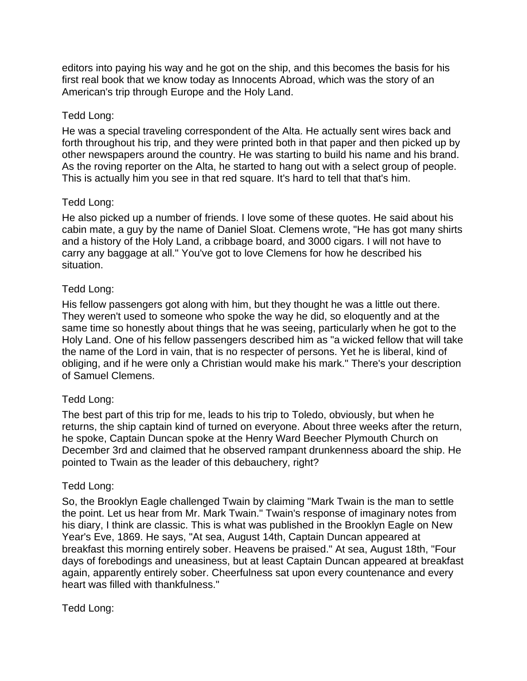editors into paying his way and he got on the ship, and this becomes the basis for his first real book that we know today as Innocents Abroad, which was the story of an American's trip through Europe and the Holy Land.

## Tedd Long:

He was a special traveling correspondent of the Alta. He actually sent wires back and forth throughout his trip, and they were printed both in that paper and then picked up by other newspapers around the country. He was starting to build his name and his brand. As the roving reporter on the Alta, he started to hang out with a select group of people. This is actually him you see in that red square. It's hard to tell that that's him.

## Tedd Long:

He also picked up a number of friends. I love some of these quotes. He said about his cabin mate, a guy by the name of Daniel Sloat. Clemens wrote, "He has got many shirts and a history of the Holy Land, a cribbage board, and 3000 cigars. I will not have to carry any baggage at all." You've got to love Clemens for how he described his situation.

# Tedd Long:

His fellow passengers got along with him, but they thought he was a little out there. They weren't used to someone who spoke the way he did, so eloquently and at the same time so honestly about things that he was seeing, particularly when he got to the Holy Land. One of his fellow passengers described him as "a wicked fellow that will take the name of the Lord in vain, that is no respecter of persons. Yet he is liberal, kind of obliging, and if he were only a Christian would make his mark." There's your description of Samuel Clemens.

# Tedd Long:

The best part of this trip for me, leads to his trip to Toledo, obviously, but when he returns, the ship captain kind of turned on everyone. About three weeks after the return, he spoke, Captain Duncan spoke at the Henry Ward Beecher Plymouth Church on December 3rd and claimed that he observed rampant drunkenness aboard the ship. He pointed to Twain as the leader of this debauchery, right?

### Tedd Long:

So, the Brooklyn Eagle challenged Twain by claiming "Mark Twain is the man to settle the point. Let us hear from Mr. Mark Twain." Twain's response of imaginary notes from his diary, I think are classic. This is what was published in the Brooklyn Eagle on New Year's Eve, 1869. He says, "At sea, August 14th, Captain Duncan appeared at breakfast this morning entirely sober. Heavens be praised." At sea, August 18th, "Four days of forebodings and uneasiness, but at least Captain Duncan appeared at breakfast again, apparently entirely sober. Cheerfulness sat upon every countenance and every heart was filled with thankfulness."

### Tedd Long: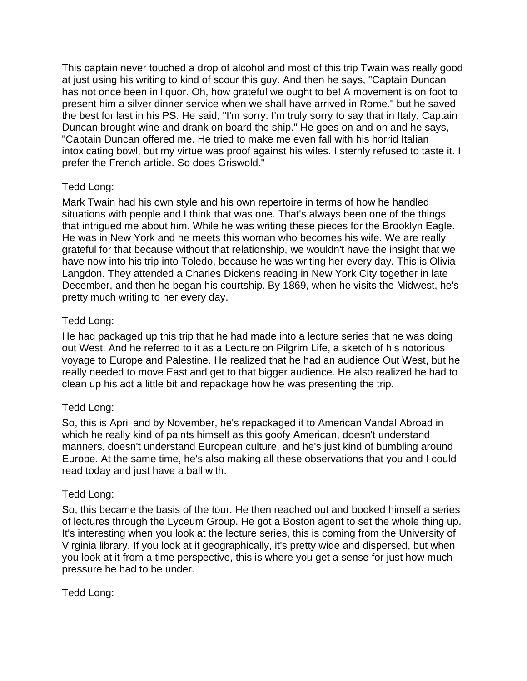This captain never touched a drop of alcohol and most of this trip Twain was really good at just using his writing to kind of scour this guy. And then he says, "Captain Duncan has not once been in liquor. Oh, how grateful we ought to be! A movement is on foot to present him a silver dinner service when we shall have arrived in Rome." but he saved the best for last in his PS. He said, "I'm sorry. I'm truly sorry to say that in Italy, Captain Duncan brought wine and drank on board the ship." He goes on and on and he says, "Captain Duncan offered me. He tried to make me even fall with his horrid Italian intoxicating bowl, but my virtue was proof against his wiles. I sternly refused to taste it. I prefer the French article. So does Griswold."

# Tedd Long:

Mark Twain had his own style and his own repertoire in terms of how he handled situations with people and I think that was one. That's always been one of the things that intrigued me about him. While he was writing these pieces for the Brooklyn Eagle. He was in New York and he meets this woman who becomes his wife. We are really grateful for that because without that relationship, we wouldn't have the insight that we have now into his trip into Toledo, because he was writing her every day. This is Olivia Langdon. They attended a Charles Dickens reading in New York City together in late December, and then he began his courtship. By 1869, when he visits the Midwest, he's pretty much writing to her every day.

# Tedd Long:

He had packaged up this trip that he had made into a lecture series that he was doing out West. And he referred to it as a Lecture on Pilgrim Life, a sketch of his notorious voyage to Europe and Palestine. He realized that he had an audience Out West, but he really needed to move East and get to that bigger audience. He also realized he had to clean up his act a little bit and repackage how he was presenting the trip.

# Tedd Long:

So, this is April and by November, he's repackaged it to American Vandal Abroad in which he really kind of paints himself as this goofy American, doesn't understand manners, doesn't understand European culture, and he's just kind of bumbling around Europe. At the same time, he's also making all these observations that you and I could read today and just have a ball with.

# Tedd Long:

So, this became the basis of the tour. He then reached out and booked himself a series of lectures through the Lyceum Group. He got a Boston agent to set the whole thing up. It's interesting when you look at the lecture series, this is coming from the University of Virginia library. If you look at it geographically, it's pretty wide and dispersed, but when you look at it from a time perspective, this is where you get a sense for just how much pressure he had to be under.

Tedd Long: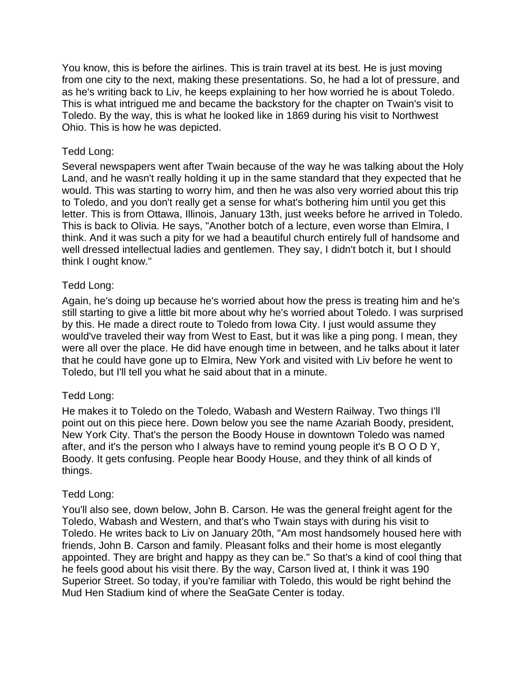You know, this is before the airlines. This is train travel at its best. He is just moving from one city to the next, making these presentations. So, he had a lot of pressure, and as he's writing back to Liv, he keeps explaining to her how worried he is about Toledo. This is what intrigued me and became the backstory for the chapter on Twain's visit to Toledo. By the way, this is what he looked like in 1869 during his visit to Northwest Ohio. This is how he was depicted.

### Tedd Long:

Several newspapers went after Twain because of the way he was talking about the Holy Land, and he wasn't really holding it up in the same standard that they expected that he would. This was starting to worry him, and then he was also very worried about this trip to Toledo, and you don't really get a sense for what's bothering him until you get this letter. This is from Ottawa, Illinois, January 13th, just weeks before he arrived in Toledo. This is back to Olivia. He says, "Another botch of a lecture, even worse than Elmira, I think. And it was such a pity for we had a beautiful church entirely full of handsome and well dressed intellectual ladies and gentlemen. They say, I didn't botch it, but I should think I ought know."

## Tedd Long:

Again, he's doing up because he's worried about how the press is treating him and he's still starting to give a little bit more about why he's worried about Toledo. I was surprised by this. He made a direct route to Toledo from Iowa City. I just would assume they would've traveled their way from West to East, but it was like a ping pong. I mean, they were all over the place. He did have enough time in between, and he talks about it later that he could have gone up to Elmira, New York and visited with Liv before he went to Toledo, but I'll tell you what he said about that in a minute.

### Tedd Long:

He makes it to Toledo on the Toledo, Wabash and Western Railway. Two things I'll point out on this piece here. Down below you see the name Azariah Boody, president, New York City. That's the person the Boody House in downtown Toledo was named after, and it's the person who I always have to remind young people it's B O O D Y, Boody. It gets confusing. People hear Boody House, and they think of all kinds of things.

### Tedd Long:

You'll also see, down below, John B. Carson. He was the general freight agent for the Toledo, Wabash and Western, and that's who Twain stays with during his visit to Toledo. He writes back to Liv on January 20th, "Am most handsomely housed here with friends, John B. Carson and family. Pleasant folks and their home is most elegantly appointed. They are bright and happy as they can be." So that's a kind of cool thing that he feels good about his visit there. By the way, Carson lived at, I think it was 190 Superior Street. So today, if you're familiar with Toledo, this would be right behind the Mud Hen Stadium kind of where the SeaGate Center is today.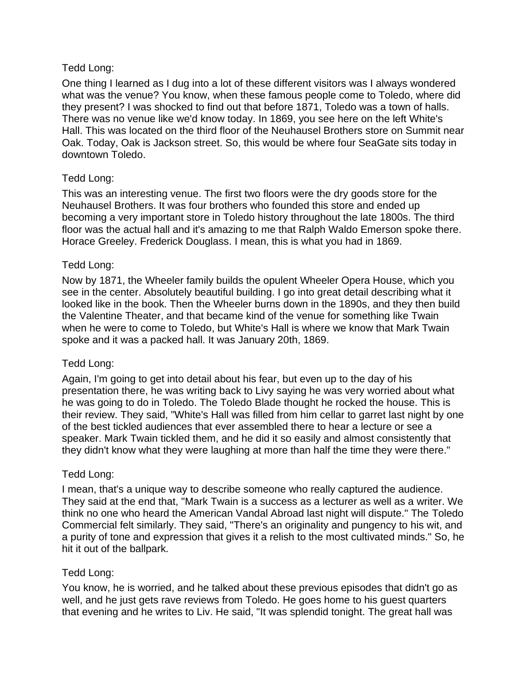## Tedd Long:

One thing I learned as I dug into a lot of these different visitors was I always wondered what was the venue? You know, when these famous people come to Toledo, where did they present? I was shocked to find out that before 1871, Toledo was a town of halls. There was no venue like we'd know today. In 1869, you see here on the left White's Hall. This was located on the third floor of the Neuhausel Brothers store on Summit near Oak. Today, Oak is Jackson street. So, this would be where four SeaGate sits today in downtown Toledo.

## Tedd Long:

This was an interesting venue. The first two floors were the dry goods store for the Neuhausel Brothers. It was four brothers who founded this store and ended up becoming a very important store in Toledo history throughout the late 1800s. The third floor was the actual hall and it's amazing to me that Ralph Waldo Emerson spoke there. Horace Greeley. Frederick Douglass. I mean, this is what you had in 1869.

## Tedd Long:

Now by 1871, the Wheeler family builds the opulent Wheeler Opera House, which you see in the center. Absolutely beautiful building. I go into great detail describing what it looked like in the book. Then the Wheeler burns down in the 1890s, and they then build the Valentine Theater, and that became kind of the venue for something like Twain when he were to come to Toledo, but White's Hall is where we know that Mark Twain spoke and it was a packed hall. It was January 20th, 1869.

# Tedd Long:

Again, I'm going to get into detail about his fear, but even up to the day of his presentation there, he was writing back to Livy saying he was very worried about what he was going to do in Toledo. The Toledo Blade thought he rocked the house. This is their review. They said, "White's Hall was filled from him cellar to garret last night by one of the best tickled audiences that ever assembled there to hear a lecture or see a speaker. Mark Twain tickled them, and he did it so easily and almost consistently that they didn't know what they were laughing at more than half the time they were there."

### Tedd Long:

I mean, that's a unique way to describe someone who really captured the audience. They said at the end that, "Mark Twain is a success as a lecturer as well as a writer. We think no one who heard the American Vandal Abroad last night will dispute." The Toledo Commercial felt similarly. They said, "There's an originality and pungency to his wit, and a purity of tone and expression that gives it a relish to the most cultivated minds." So, he hit it out of the ballpark.

### Tedd Long:

You know, he is worried, and he talked about these previous episodes that didn't go as well, and he just gets rave reviews from Toledo. He goes home to his guest quarters that evening and he writes to Liv. He said, "It was splendid tonight. The great hall was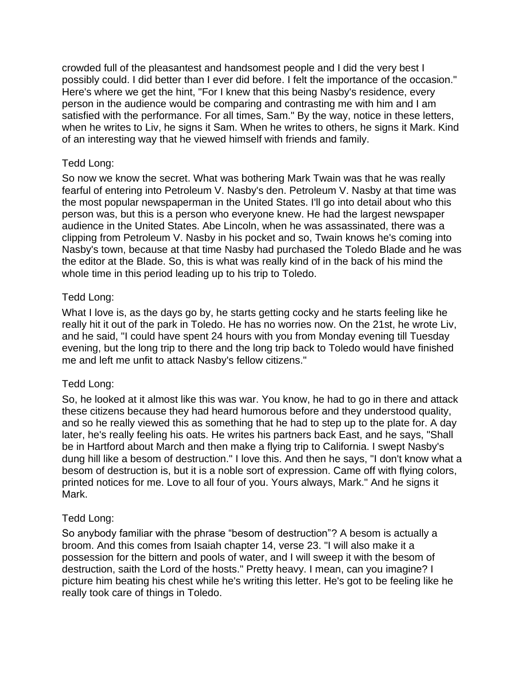crowded full of the pleasantest and handsomest people and I did the very best I possibly could. I did better than I ever did before. I felt the importance of the occasion." Here's where we get the hint, "For I knew that this being Nasby's residence, every person in the audience would be comparing and contrasting me with him and I am satisfied with the performance. For all times, Sam." By the way, notice in these letters, when he writes to Liv, he signs it Sam. When he writes to others, he signs it Mark. Kind of an interesting way that he viewed himself with friends and family.

## Tedd Long:

So now we know the secret. What was bothering Mark Twain was that he was really fearful of entering into Petroleum V. Nasby's den. Petroleum V. Nasby at that time was the most popular newspaperman in the United States. I'll go into detail about who this person was, but this is a person who everyone knew. He had the largest newspaper audience in the United States. Abe Lincoln, when he was assassinated, there was a clipping from Petroleum V. Nasby in his pocket and so, Twain knows he's coming into Nasby's town, because at that time Nasby had purchased the Toledo Blade and he was the editor at the Blade. So, this is what was really kind of in the back of his mind the whole time in this period leading up to his trip to Toledo.

## Tedd Long:

What I love is, as the days go by, he starts getting cocky and he starts feeling like he really hit it out of the park in Toledo. He has no worries now. On the 21st, he wrote Liv, and he said, "I could have spent 24 hours with you from Monday evening till Tuesday evening, but the long trip to there and the long trip back to Toledo would have finished me and left me unfit to attack Nasby's fellow citizens."

### Tedd Long:

So, he looked at it almost like this was war. You know, he had to go in there and attack these citizens because they had heard humorous before and they understood quality, and so he really viewed this as something that he had to step up to the plate for. A day later, he's really feeling his oats. He writes his partners back East, and he says, "Shall be in Hartford about March and then make a flying trip to California. I swept Nasby's dung hill like a besom of destruction." I love this. And then he says, "I don't know what a besom of destruction is, but it is a noble sort of expression. Came off with flying colors, printed notices for me. Love to all four of you. Yours always, Mark." And he signs it Mark.

# Tedd Long:

So anybody familiar with the phrase "besom of destruction"? A besom is actually a broom. And this comes from Isaiah chapter 14, verse 23. "I will also make it a possession for the bittern and pools of water, and I will sweep it with the besom of destruction, saith the Lord of the hosts." Pretty heavy. I mean, can you imagine? I picture him beating his chest while he's writing this letter. He's got to be feeling like he really took care of things in Toledo.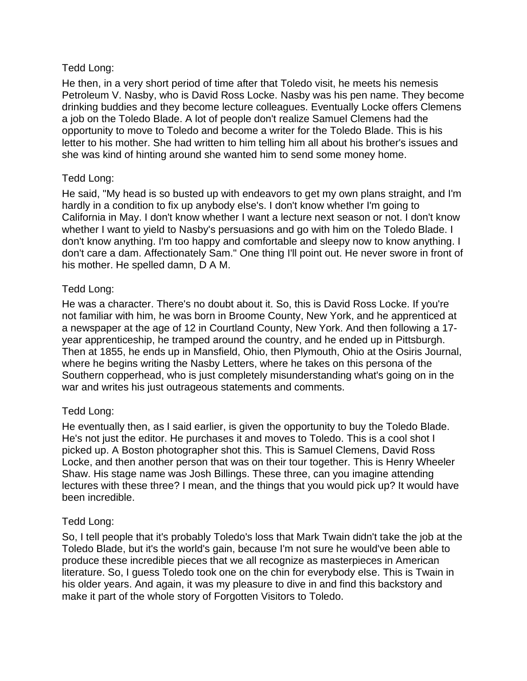## Tedd Long:

He then, in a very short period of time after that Toledo visit, he meets his nemesis Petroleum V. Nasby, who is David Ross Locke. Nasby was his pen name. They become drinking buddies and they become lecture colleagues. Eventually Locke offers Clemens a job on the Toledo Blade. A lot of people don't realize Samuel Clemens had the opportunity to move to Toledo and become a writer for the Toledo Blade. This is his letter to his mother. She had written to him telling him all about his brother's issues and she was kind of hinting around she wanted him to send some money home.

# Tedd Long:

He said, "My head is so busted up with endeavors to get my own plans straight, and I'm hardly in a condition to fix up anybody else's. I don't know whether I'm going to California in May. I don't know whether I want a lecture next season or not. I don't know whether I want to yield to Nasby's persuasions and go with him on the Toledo Blade. I don't know anything. I'm too happy and comfortable and sleepy now to know anything. I don't care a dam. Affectionately Sam." One thing I'll point out. He never swore in front of his mother. He spelled damn, D A M.

## Tedd Long:

He was a character. There's no doubt about it. So, this is David Ross Locke. If you're not familiar with him, he was born in Broome County, New York, and he apprenticed at a newspaper at the age of 12 in Courtland County, New York. And then following a 17 year apprenticeship, he tramped around the country, and he ended up in Pittsburgh. Then at 1855, he ends up in Mansfield, Ohio, then Plymouth, Ohio at the Osiris Journal, where he begins writing the Nasby Letters, where he takes on this persona of the Southern copperhead, who is just completely misunderstanding what's going on in the war and writes his just outrageous statements and comments.

### Tedd Long:

He eventually then, as I said earlier, is given the opportunity to buy the Toledo Blade. He's not just the editor. He purchases it and moves to Toledo. This is a cool shot I picked up. A Boston photographer shot this. This is Samuel Clemens, David Ross Locke, and then another person that was on their tour together. This is Henry Wheeler Shaw. His stage name was Josh Billings. These three, can you imagine attending lectures with these three? I mean, and the things that you would pick up? It would have been incredible.

### Tedd Long:

So, I tell people that it's probably Toledo's loss that Mark Twain didn't take the job at the Toledo Blade, but it's the world's gain, because I'm not sure he would've been able to produce these incredible pieces that we all recognize as masterpieces in American literature. So, I guess Toledo took one on the chin for everybody else. This is Twain in his older years. And again, it was my pleasure to dive in and find this backstory and make it part of the whole story of Forgotten Visitors to Toledo.